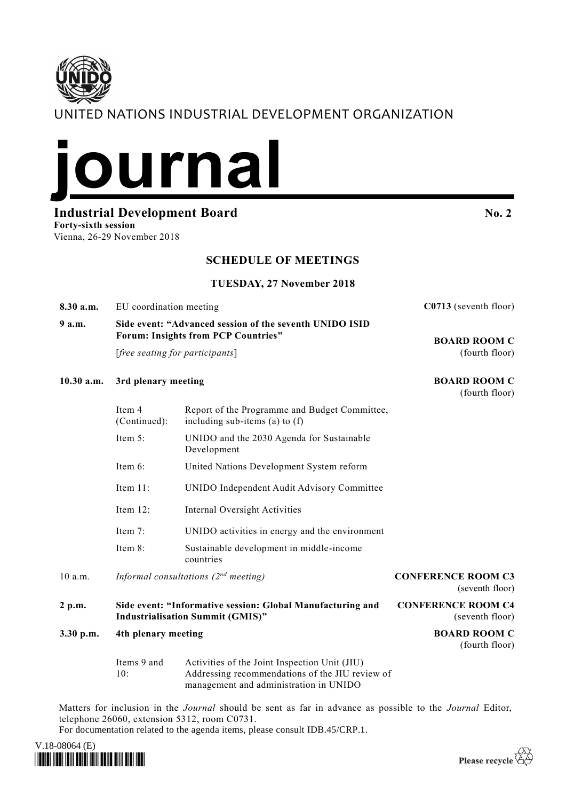# UNITED NATIONS INDUSTRIAL DEVELOPMENT ORGANIZATION



**Industrial Development Board No. 2 No. 2** 

**Forty-sixth session** Vienna, 26-29 November 2018

#### **SCHEDULE OF MEETINGS**

#### **TUESDAY, 27 November 2018**

Report of the Programme and Budget Committee,

**8.30 a.m.** EU coordination meeting **C0713** (seventh floor)

### **9 a.m. Side event: "Advanced session of the seventh UNIDO ISID Forum: Insights from PCP Countries"**

[*free seating for participants*]

**10.30 a.m. 3rd plenary meeting BOARD ROOM C**

Item 4

#### **BOARD ROOM C** (fourth floor)

(fourth floor)

|           | (Continued):                                                                                          | including sub-items (a) to $(f)$                         |                                              |
|-----------|-------------------------------------------------------------------------------------------------------|----------------------------------------------------------|----------------------------------------------|
|           | Item $5:$                                                                                             | UNIDO and the 2030 Agenda for Sustainable<br>Development |                                              |
|           | Item $6$ :                                                                                            | United Nations Development System reform                 |                                              |
|           | Item $11$ :                                                                                           | UNIDO Independent Audit Advisory Committee               |                                              |
|           | Item $12$ :                                                                                           | Internal Oversight Activities                            |                                              |
|           | Item $7:$                                                                                             | UNIDO activities in energy and the environment           |                                              |
|           | Item $8$ :                                                                                            | Sustainable development in middle-income<br>countries    |                                              |
| 10 a.m.   | Informal consultations $(2^{nd}$ meeting)                                                             |                                                          | <b>CONFERENCE ROOM C3</b><br>(seventh floor) |
| 2 p.m.    | Side event: "Informative session: Global Manufacturing and<br><b>Industrialisation Summit (GMIS)"</b> |                                                          | <b>CONFERENCE ROOM C4</b><br>(seventh floor) |
| 3.30 p.m. | 4th plenary meeting                                                                                   |                                                          | <b>BOARD ROOM C</b><br>(fourth floor)        |

Items 9 and  $10:$ Activities of the Joint Inspection Unit (JIU) Addressing recommendations of the JIU review of management and administration in UNIDO

Matters for inclusion in the *Journal* should be sent as far in advance as possible to the *Journal* Editor, telephone 26060, extension 5312, room C0731.

For documentation related to the agenda items, please consult IDB.45/CRP.1.



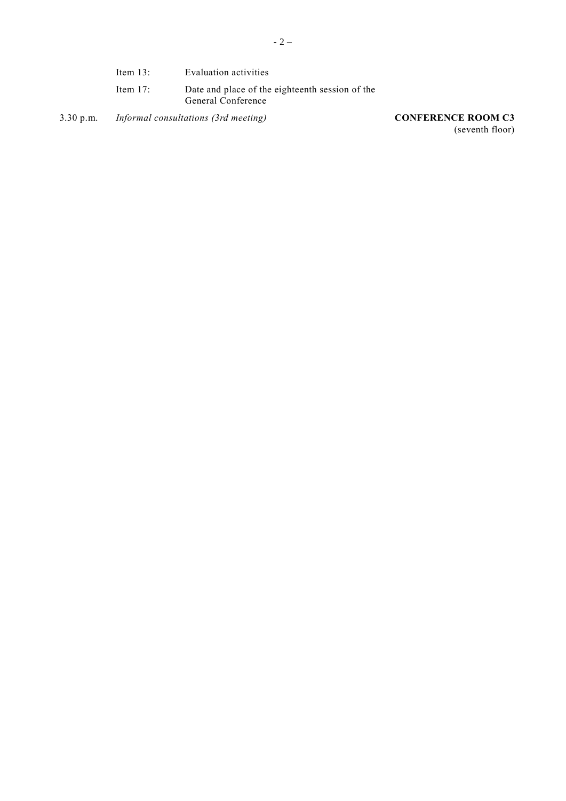| Item $13$ : | Evaluation activities                                                 |
|-------------|-----------------------------------------------------------------------|
| Item $17$ : | Date and place of the eighteenth session of the<br>General Conference |

3.30 p.m. *Informal consultations (3rd meeting)* **CONFERENCE ROOM C3**

(seventh floor)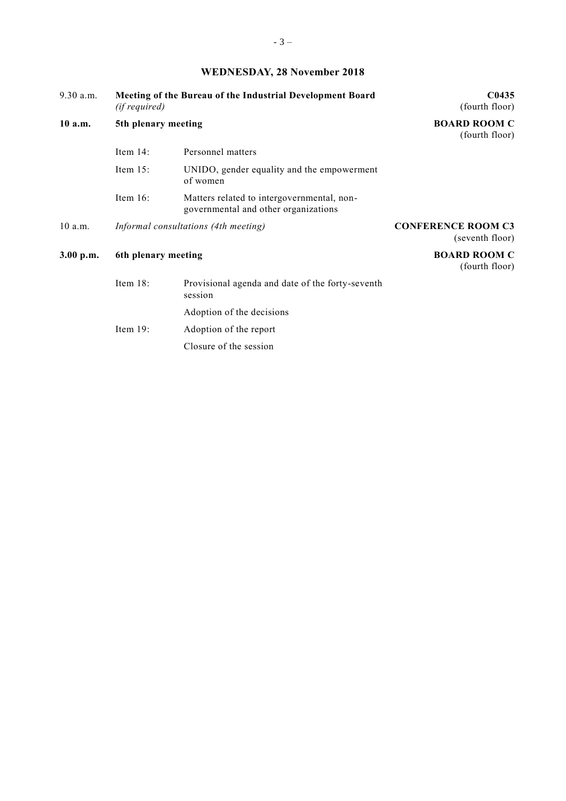## **WEDNESDAY, 28 November 2018**

| 9.30 a.m. | Meeting of the Bureau of the Industrial Development Board<br><i>(if required)</i> |                                                                                    | C <sub>0435</sub><br>(fourth floor)          |
|-----------|-----------------------------------------------------------------------------------|------------------------------------------------------------------------------------|----------------------------------------------|
| $10$ a.m. | 5th plenary meeting                                                               |                                                                                    | <b>BOARD ROOM C</b><br>(fourth floor)        |
|           | Item $14$ :                                                                       | Personnel matters                                                                  |                                              |
|           | Item $15$ :                                                                       | UNIDO, gender equality and the empowerment<br>of women                             |                                              |
|           | Item $16$ :                                                                       | Matters related to intergovernmental, non-<br>governmental and other organizations |                                              |
| $10$ a.m. | Informal consultations (4th meeting)                                              |                                                                                    | <b>CONFERENCE ROOM C3</b><br>(seventh floor) |
| 3.00 p.m. | 6th plenary meeting                                                               |                                                                                    | <b>BOARD ROOM C</b><br>(fourth floor)        |
|           | Item 18:                                                                          | Provisional agenda and date of the forty-seventh<br>session                        |                                              |
|           |                                                                                   | Adoption of the decisions                                                          |                                              |
|           | Item $19$ :                                                                       | Adoption of the report                                                             |                                              |
|           |                                                                                   | Closure of the session                                                             |                                              |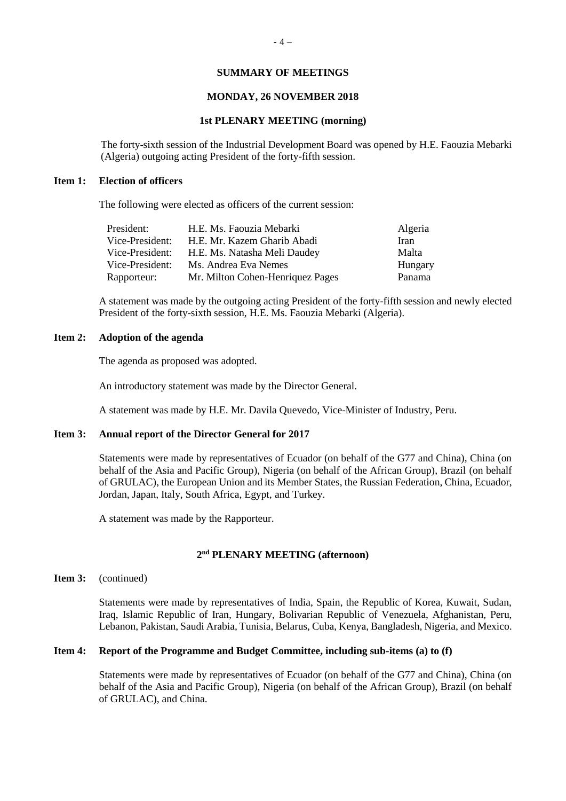#### **SUMMARY OF MEETINGS**

#### **MONDAY, 26 NOVEMBER 2018**

#### **1st PLENARY MEETING (morning)**

The forty-sixth session of the Industrial Development Board was opened by H.E. Faouzia Mebarki (Algeria) outgoing acting President of the forty-fifth session.

#### **Item 1: Election of officers**

The following were elected as officers of the current session:

| H.E. Ms. Faouzia Mebarki         | Algeria |
|----------------------------------|---------|
| H.E. Mr. Kazem Gharib Abadi      | Iran    |
| H.E. Ms. Natasha Meli Daudey     | Malta   |
| Ms. Andrea Eva Nemes             | Hungary |
| Mr. Milton Cohen-Henriquez Pages | Panama  |
|                                  |         |

A statement was made by the outgoing acting President of the forty-fifth session and newly elected President of the forty-sixth session, H.E. Ms. Faouzia Mebarki (Algeria).

#### **Item 2: Adoption of the agenda**

The agenda as proposed was adopted.

An introductory statement was made by the Director General.

A statement was made by H.E. Mr. Davila Quevedo, Vice-Minister of Industry, Peru.

#### **Item 3: Annual report of the Director General for 2017**

Statements were made by representatives of Ecuador (on behalf of the G77 and China), China (on behalf of the Asia and Pacific Group), Nigeria (on behalf of the African Group), Brazil (on behalf of GRULAC), the European Union and its Member States, the Russian Federation, China, Ecuador, Jordan, Japan, Italy, South Africa, Egypt, and Turkey.

A statement was made by the Rapporteur.

#### **2 nd PLENARY MEETING (afternoon)**

#### **Item 3:** (continued)

Statements were made by representatives of India, Spain, the Republic of Korea, Kuwait, Sudan, Iraq, Islamic Republic of Iran, Hungary, Bolivarian Republic of Venezuela, Afghanistan, Peru, Lebanon, Pakistan, Saudi Arabia, Tunisia, Belarus, Cuba, Kenya, Bangladesh, Nigeria, and Mexico.

#### **Item 4: Report of the Programme and Budget Committee, including sub-items (a) to (f)**

Statements were made by representatives of Ecuador (on behalf of the G77 and China), China (on behalf of the Asia and Pacific Group), Nigeria (on behalf of the African Group), Brazil (on behalf of GRULAC), and China.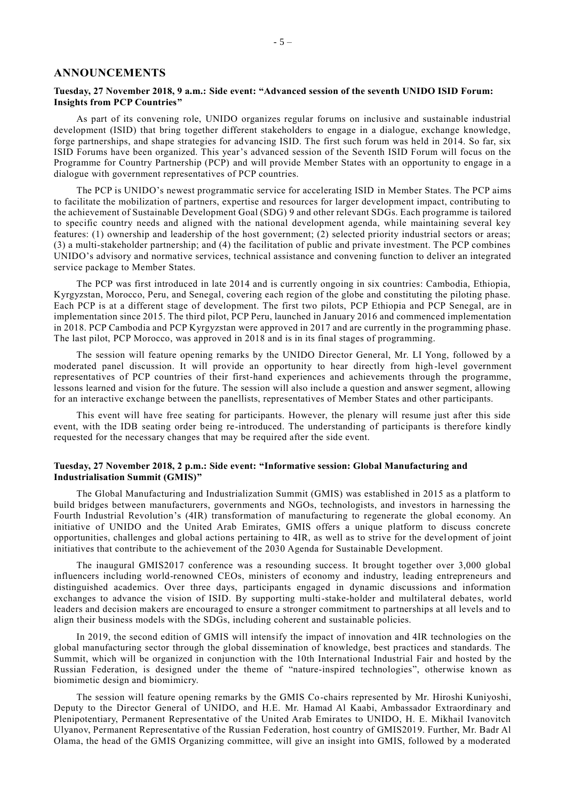#### **ANNOUNCEMENTS**

#### **Tuesday, 27 November 2018, 9 a.m.: Side event: "Advanced session of the seventh UNIDO ISID Forum: Insights from PCP Countries"**

As part of its convening role, UNIDO organizes regular forums on inclusive and sustainable industrial development (ISID) that bring together different stakeholders to engage in a dialogue, exchange knowledge, forge partnerships, and shape strategies for advancing ISID. The first such forum was held in 2014. So far, six ISID Forums have been organized. This year's advanced session of the Seventh ISID Forum will focus on the [Programme for Country Partnership \(PCP\)](https://www.unido.org/programme-country-partnership) and will provide Member States with an opportunity to engage in a dialogue with government representatives of PCP countries.

The PCP is UNIDO's newest programmatic service for accelerating ISID in Member States. The PCP aims to facilitate the mobilization of partners, expertise and resources for larger development impact, contributing to the achievement of [Sustainable Development Goal \(SDG\)](https://www.unido.org/2030-agenda-and-sustainable-development-goals) 9 and other relevant SDGs. Each programme is tailored to specific country needs and aligned with the national development agenda, while maintaining several key features: (1) ownership and leadership of the host government; (2) selected priority industrial sectors or areas; (3) a multi-stakeholder partnership; and (4) the facilitation of public and private investment. The PCP combines UNIDO's advisory and normative services, technical assistance and convening function to deliver an integrated service package to Member States.

The PCP was first introduced in late 2014 and is currently ongoing in six countries: Cambodia, Ethiopia, Kyrgyzstan, Morocco, Peru, and Senegal, covering each region of the globe and constituting the piloting phase. Each PCP is at a different stage of development. The first two pilots, [PCP Ethiopia](https://www.unido.org/programme-country-partnership/ethiopia) and [PCP Senegal,](https://www.unido.org/programme-country-partnership/senegal) are in implementation since 2015. The third pilot, [PCP Peru,](https://www.unido.org/programme-country-partnership/peru) launched in January 2016 and commenced implementation in 2018. PCP Cambodia and [PCP Kyrgyzstan](https://www.unido.org/who-we-are-programme-country-partnership/programme-country-partnership-kyrgyzstan) were approved in 2017 and are currently in the programming phase. The last pilot, [PCP Morocco,](https://www.unido.org/who-we-are-programme-country-partnership/programme-country-partnership-morocco) was approved in 2018 and is in its final stages of programming.

The session will feature opening remarks by the UNIDO Director General, Mr. LI Yong, followed by a moderated panel discussion. It will provide an opportunity to hear directly from high -level government representatives of PCP countries of their first-hand experiences and achievements through the programme, lessons learned and vision for the future. The session will also include a question and answer segment, allowing for an interactive exchange between the panellists, representatives of Member States and other participants.

This event will have free seating for participants. However, the plenary will resume just after this side event, with the IDB seating order being re-introduced. The understanding of participants is therefore kindly requested for the necessary changes that may be required after the side event.

#### **Tuesday, 27 November 2018, 2 p.m.: Side event: "Informative session: Global Manufacturing and Industrialisation Summit (GMIS)"**

The Global Manufacturing and Industrialization Summit (GMIS) was established in 2015 as a platform to build bridges between manufacturers, governments and NGOs, technologists, and investors in harnessing the Fourth Industrial Revolution's (4IR) transformation of manufacturing to regenerate the global economy. An initiative of UNIDO and the United Arab Emirates, GMIS offers a unique platform to discuss concrete opportunities, challenges and global actions pertaining to 4IR, as well as to strive for the devel opment of joint initiatives that contribute to the achievement of the 2030 Agenda for Sustainable Development.

The inaugural GMIS2017 conference was a resounding success. It brought together over 3,000 global influencers including world-renowned CEOs, ministers of economy and industry, leading entrepreneurs and distinguished academics. Over three days, participants engaged in dynamic discussions and information exchanges to advance the vision of ISID. By supporting multi-stake-holder and multilateral debates, world leaders and decision makers are encouraged to ensure a stronger commitment to partnerships at all levels and to align their business models with the SDGs, including coherent and sustainable policies.

In 2019, the second edition of GMIS will intensify the impact of innovation and 4IR technologies on the global manufacturing sector through the global dissemination of knowledge, best practices and standards. The Summit, which will be organized in conjunction with the 10th International Industrial Fair and hosted by the Russian Federation, is designed under the theme of "nature-inspired technologies", otherwise known as biomimetic design and biomimicry.

The session will feature opening remarks by the GMIS Co-chairs represented by Mr. Hiroshi Kuniyoshi, Deputy to the Director General of UNIDO, and H.E. Mr. Hamad Al Kaabi, Ambassador Extraordinary and Plenipotentiary, Permanent Representative of the United Arab Emirates to UNIDO, H. E. Mikhail Ivanovitch Ulyanov, Permanent Representative of the Russian Federation, host country of GMIS2019. Further, Mr. Badr Al Olama, the head of the GMIS Organizing committee, will give an insight into GMIS, followed by a moderated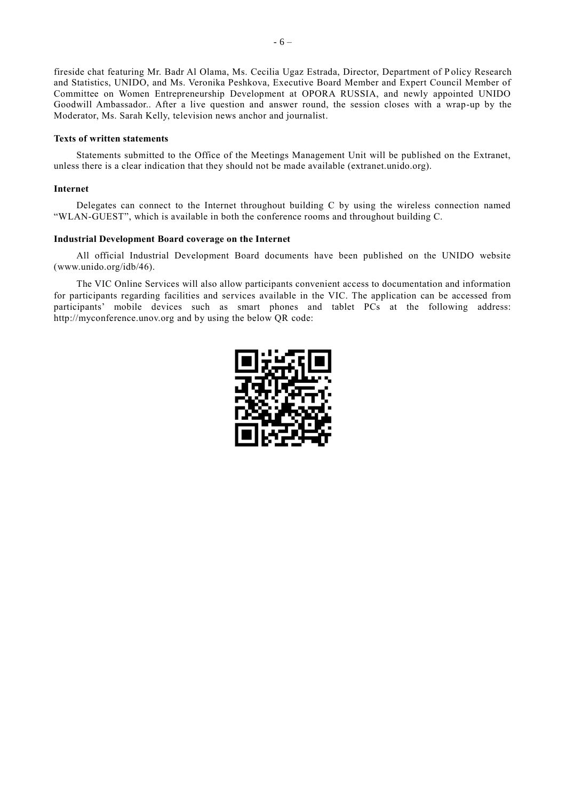fireside chat featuring Mr. Badr Al Olama, Ms. Cecilia Ugaz Estrada, Director, Department of P olicy Research and Statistics, UNIDO, and Ms. Veronika Peshkova, Executive Board Member and Expert Council Member of Committee on Women Entrepreneurship Development at OPORA RUSSIA, and newly appointed UNIDO Goodwill Ambassador.. After a live question and answer round, the session closes with a wrap-up by the Moderator, Ms. Sarah Kelly, television news anchor and journalist.

#### **Texts of written statements**

Statements submitted to the Office of the Meetings Management Unit will be published on the Extranet, unless there is a clear indication that they should not be made available (extranet.unido.org).

#### **Internet**

Delegates can connect to the Internet throughout building C by using the wireless connection named "WLAN-GUEST", which is available in both the conference rooms and throughout building C.

#### **Industrial Development Board coverage on the Internet**

All official Industrial Development Board documents have been published on the UNIDO website (www.unido.org/idb/46).

The VIC Online Services will also allow participants convenient access to documentation and information for participants regarding facilities and services available in the VIC. The application can be accessed from participants' mobile devices such as smart phones and tablet PCs at the following address: [http://myconference.unov.org](http://myconference.unov.org/) and by using the below QR code: